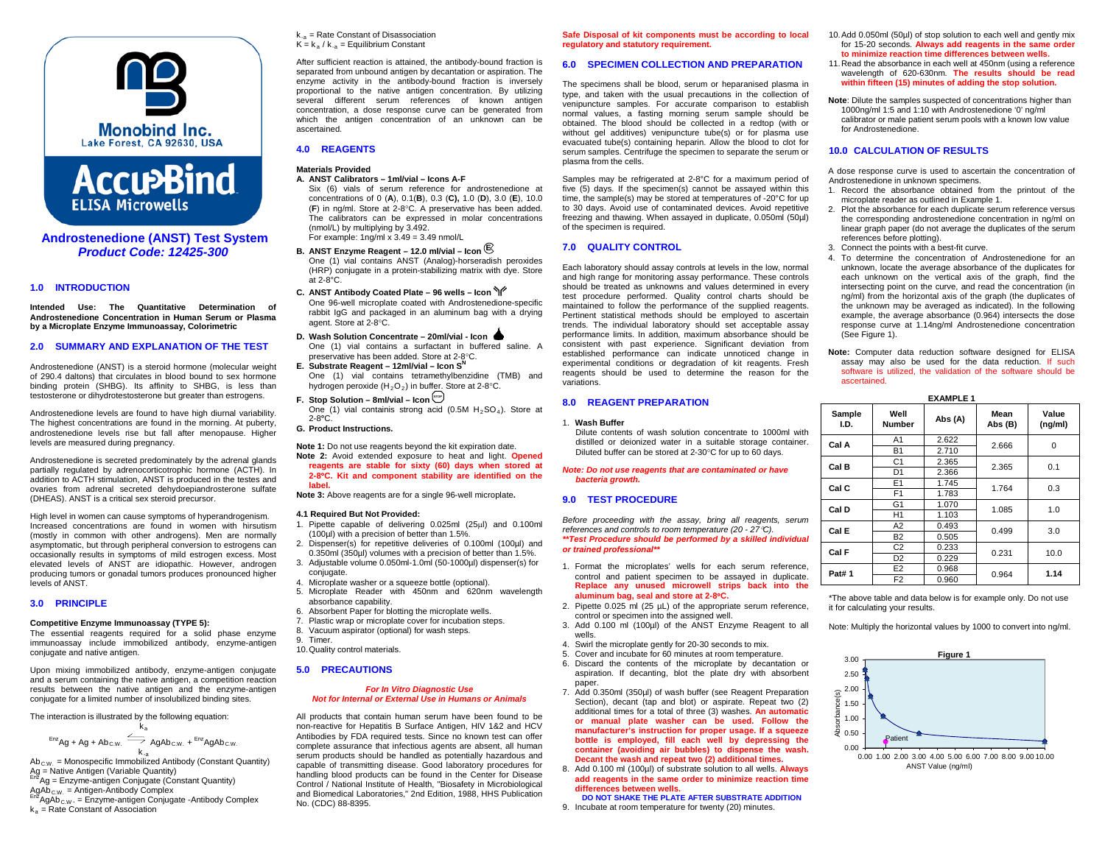



**Androstenedione (ANST) Test System** *Product Code: 12425-300*

### **1.0 INTRODUCTION**

**Intended Use: The Quantitative Determination of Androstenedione Concentration in Human Serum or Plasma by a Microplate Enzyme Immunoassay, Colorimetric**

#### **2.0 SUMMARY AND EXPLANATION OF THE TEST**

Androstenedione (ANST) is a steroid hormone (molecular weight of 290.4 daltons) that circulates in blood bound to sex hormone binding protein (SHBG). Its affinity to SHBG, is less than testosterone or dihydrotestosterone but greater than estrogens.

Androstenedione levels are found to have high diurnal variability. The highest concentrations are found in the morning. At puberty, androstenedione levels rise but fall after menopause. Higher levels are measured during pregnancy.

Androstenedione is secreted predominately by the adrenal glands partially regulated by adrenocorticotrophic hormone (ACTH). In addition to ACTH stimulation, ANST is produced in the testes and ovaries from adrenal secreted dehydoepiandrosterone sulfate (DHEAS). ANST is a critical sex steroid precursor.

High level in women can cause symptoms of hyperandrogenism. Increased concentrations are found in women with hirsutism (mostly in common with other androgens). Men are normally asymptomatic, but through peripheral conversion to estrogens can occasionally results in symptoms of mild estrogen excess. Most elevated levels of ANST are idiopathic. However, androgen producing tumors or gonadal tumors produces pronounced higher levels of ANST.

#### **3.0 PRINCIPLE**

#### **Competitive Enzyme Immunoassay (TYPE 5):**

The essential reagents required for a solid phase enzyme immunoassay include immobilized antibody, enzyme-antigen conjugate and native antigen.

Upon mixing immobilized antibody, enzyme-antigen conjugate and a serum containing the native antigen, a competition reaction results between the native antigen and the enzyme-antigen conjugate for a limited number of insolubilized binding sites.

The interaction is illustrated by the following equation:

$$
\xrightarrow{Enz} Ag + Ag + Ab_{c.w.} \xrightarrow{k_a} AgAb_{c.w.} + \xrightarrow{Enz} AgAb_{c.w.}
$$

k-a  $Ab_{\text{CW}}$  = Monospecific Immobilized Antibody (Constant Quantity) Ag = Native Antigen (Variable Quantity)<br> $E_{12}$ Ag = Enzyme-antigen Conjugate (Constant Quantity)

AgAb  $_{\text{CW}}$ . = Antigen-Antibody Complex  $\frac{1}{\text{EM}}$ AgAb  $_{\text{CW}}$ . = Enzyme-antigen Conjugate -Antibody Complex  $k_a$  = Rate Constant of Association

 $k_{-a}$  = Rate Constant of Disassociation  $K = k_a / k_{-a} =$  Equilibrium Constant

After sufficient reaction is attained, the antibody-bound fraction is separated from unbound antigen by decantation or aspiration. The enzyme activity in the antibody-bound fraction is inversely proportional to the native antigen concentration. By utilizing several different serum references of known antigen concentration, a dose response curve can be generated from which the antigen concentration of an unknown can be ascertained.

# **4.0 REAGENTS**

# **Materials Provided**

- **A. ANST Calibrators – 1ml/vial – Icons A-F** Six (6) vials of serum reference for androstenedione at concentrations of 0 (**A**), 0.1(**B**), 0.3 (**C),** 1.0 (**D**), 3.0 (**E**), 10.0 (**F**) in ng/ml. Store at 2-8°C. A preservative has been added. The calibrators can be expressed in molar concentrations (nmol/L) by multiplying by 3.492. For example:  $1$ ng/ml x  $3.49 = 3.49$  nmol/L
- **B. ANST Enzyme Reagent – 12.0 ml/vial – Icon <sup>E</sup>**

One (1) vial contains ANST (Analog)-horseradish peroxides (HRP) conjugate in a protein-stabilizing matrix with dye. Store at 2-8°C.

- **C. ANST Antibody Coated Plate – 96 wells – Icon**  One 96-well microplate coated with Androstenedione-specific rabbit IgG and packaged in an aluminum bag with a drying agent. Store at 2-8°C.
- **D. Wash Solution Concentrate – 20ml/vial - Icon**
- One (1) vial contains a surfactant in buffered saline. A preservative has been added. Store at 2-8°C. **E. Substrate Reagent – 12ml/vial – Icon SN**
- One (1) vial contains tetramethylbenzidine (TMB) and hydrogen peroxide  $(H_2O_2)$  in buffer. Store at 2-8°C.
- **F.** Stop Solution 8ml/vial Icon  $\left(\frac{\text{src}}{\text{src}}\right)$ One (1) vial containis strong acid (0.5M  $H_2SO_4$ ). Store at 2-8**°**C.

#### **G. Product Instructions.**

- **Note 1:** Do not use reagents beyond the kit expiration date. **Note 2:** Avoid extended exposure to heat and light. **Opened reagents are stable for sixty (60) days when stored at 2-8**°**C. Kit and component stability are identified on the label.**
- **Note 3:** Above reagents are for a single 96-well microplate**.**

#### **4.1 Required But Not Provided:**

- 1. Pipette capable of delivering 0.025ml (25µl) and 0.100ml (100µl) with a precision of better than 1.5%.
- 2. Dispenser(s) for repetitive deliveries of 0.100ml (100µl) and 0.350ml (350µl) volumes with a precision of better than 1.5%.
- 3. Adjustable volume 0.050ml-1.0ml (50-1000µl) dispenser(s) for conjugate.
- 4. Microplate washer or a squeeze bottle (optional).
- 5. Microplate Reader with 450nm and 620nm wavelength absorbance capability.
- 6. Absorbent Paper for blotting the microplate wells.
- 7. Plastic wrap or microplate cover for incubation steps. 8. Vacuum aspirator (optional) for wash steps.
- 9. Timer.
- 10.Quality control materials.
- **5.0 PRECAUTIONS**

#### *For In Vitro Diagnostic Use Not for Internal or External Use in Humans or Animals*

All products that contain human serum have been found to be non-reactive for Hepatitis B Surface Antigen, HIV 1&2 and HCV Antibodies by FDA required tests. Since no known test can offer complete assurance that infectious agents are absent, all human serum products should be handled as potentially hazardous and capable of transmitting disease. Good laboratory procedures for handling blood products can be found in the Center for Disease Control / National Institute of Health, "Biosafety in Microbiological and Biomedical Laboratories," 2nd Edition, 1988, HHS Publication No. (CDC) 88-8395.

**Safe Disposal of kit components must be according to local regulatory and statutory requirement.**

# **6.0 SPECIMEN COLLECTION AND PREPARATION**

The specimens shall be blood, serum or heparanised plasma in type, and taken with the usual precautions in the collection of venipuncture samples. For accurate comparison to establish normal values, a fasting morning serum sample should be obtained. The blood should be collected in a redtop (with or without gel additives) venipuncture tube(s) or for plasma use evacuated tube(s) containing heparin. Allow the blood to clot for serum samples. Centrifuge the specimen to separate the serum or plasma from the cells.

Samples may be refrigerated at 2-8°C for a maximum period of five (5) days. If the specimen(s) cannot be assayed within this time, the sample(s) may be stored at temperatures of -20°C for up to 30 days. Avoid use of contaminated devices. Avoid repetitive freezing and thawing. When assayed in duplicate, 0.050ml (50µl) of the specimen is required.

# **7.0 QUALITY CONTROL**

Each laboratory should assay controls at levels in the low, normal and high range for monitoring assay performance. These controls should be treated as unknowns and values determined in every test procedure performed. Quality control charts should be maintained to follow the performance of the supplied reagents. Pertinent statistical methods should be employed to ascertain trends. The individual laboratory should set acceptable assay performance limits. In addition, maximum absorbance should be consistent with past experience. Significant deviation from established performance can indicate unnoticed change in experimental conditions or degradation of kit reagents. Fresh reagents should be used to determine the reason for the variations.

#### **8.0 REAGENT PREPARATION**

#### 1. **Wash Buffer**

Dilute contents of wash solution concentrate to 1000ml with distilled or deionized water in a suitable storage container. Diluted buffer can be stored at 2-30°C for up to 60 days.

#### *Note: Do not use reagents that are contaminated or have bacteria growth.*

### **9.0 TEST PROCEDURE**

*Before proceeding with the assay, bring all reagents, serum references and controls to room temperature (20 - 27*°*C). \*\*Test Procedure should be performed by a skilled individual or trained professional\*\**

- 1. Format the microplates' wells for each serum reference, control and patient specimen to be assayed in duplicate. **Replace any unused microwell strips back into the aluminum bag, seal and store at 2-8**°**C.**
- 2. Pipette 0.025 ml (25 µL) of the appropriate serum reference, control or specimen into the assigned well.
- 3. Add 0.100 ml (100µl) of the ANST Enzyme Reagent to all wells.
- 4. Swirl the microplate gently for 20-30 seconds to mix.
- 5. Cover and incubate for 60 minutes at room temperature.
- 6. Discard the contents of the microplate by decantation or aspiration. If decanting, blot the plate dry with absorbent paper.
- 7. Add 0.350ml (350µl) of wash buffer (see Reagent Preparation Section), decant (tap and blot) or aspirate. Repeat two (2) additional times for a total of three (3) washes. **An automatic or manual plate washer can be used. Follow the manufacturer's instruction for proper usage. If a squeeze bottle is employed, fill each well by depressing the container (avoiding air bubbles) to dispense the wash. Decant the wash and repeat two (2) additional times.**
- 8. Add 0.100 ml (100µl) of substrate solution to all wells. **Always add reagents in the same order to minimize reaction time differences between wells.**
- **DO NOT SHAKE THE PLATE AFTER SUBSTRATE ADDITION**
- 9. Incubate at room temperature for twenty (20) minutes.
- 10.Add 0.050ml (50µl) of stop solution to each well and gently mix for 15-20 seconds. **Always add reagents in the same order to minimize reaction time differences between wells.**
- 11.Read the absorbance in each well at 450nm (using a reference wavelength of 620-630nm. **The results should be read within fifteen (15) minutes of adding the stop solution.**
- **Note**: Dilute the samples suspected of concentrations higher than 1000ng/ml 1:5 and 1:10 with Androstenedione '0' ng/ml calibrator or male patient serum pools with a known low value for Androstenedione.

#### **10.0 CALCULATION OF RESULTS**

A dose response curve is used to ascertain the concentration of Androstenedione in unknown specimens.

- 1. Record the absorbance obtained from the printout of the microplate reader as outlined in Example 1.
- 2. Plot the absorbance for each duplicate serum reference versus the corresponding androstenedione concentration in ng/ml on linear graph paper (do not average the duplicates of the serum references before plotting).
- 3. Connect the points with a best-fit curve.
- 4. To determine the concentration of Androstenedione for an unknown, locate the average absorbance of the duplicates for each unknown on the vertical axis of the graph, find the intersecting point on the curve, and read the concentration (in ng/ml) from the horizontal axis of the graph (the duplicates of the unknown may be averaged as indicated). In the following example, the average absorbance (0.964) intersects the dose response curve at 1.14ng/ml Androstenedione concentration (See Figure 1).
- **Note:** Computer data reduction software designed for ELISA assay may also be used for the data reduction. If such software is utilized, the validation of the software should be ascertained.

**EXAMPLE 1**

| Sample<br>I.D. | Well<br><b>Number</b> | Abs (A) | Mean<br>Abs (B) | Value<br>(ng/ml) |  |
|----------------|-----------------------|---------|-----------------|------------------|--|
| Cal A          | A <sub>1</sub>        | 2.622   | 2.666           | 0                |  |
|                | <b>B1</b>             | 2.710   |                 |                  |  |
| Cal B          | C1                    | 2.365   | 2.365           | 0.1              |  |
|                | D <sub>1</sub>        | 2.366   |                 |                  |  |
| Cal C          | E <sub>1</sub>        | 1.745   | 1.764           | 0.3              |  |
|                | F <sub>1</sub>        | 1.783   |                 |                  |  |
| Cal D          | G <sub>1</sub>        | 1.070   | 1.085           | 1.0              |  |
|                | H <sub>1</sub>        | 1.103   |                 |                  |  |
| Cal E          | A2                    | 0.493   | 0.499           | 3.0              |  |
|                | <b>B2</b>             | 0.505   |                 |                  |  |
| Cal F          | C <sub>2</sub>        | 0.233   | 0.231           | 10.0             |  |
|                | D <sub>2</sub>        | 0.229   |                 |                  |  |
| <b>Pat#1</b>   | E <sub>2</sub>        | 0.968   | 0.964           | 1.14             |  |
|                | F <sub>2</sub>        | 0.960   |                 |                  |  |

\*The above table and data below is for example only. Do not use it for calculating your results.

Note: Multiply the horizontal values by 1000 to convert into ng/ml.